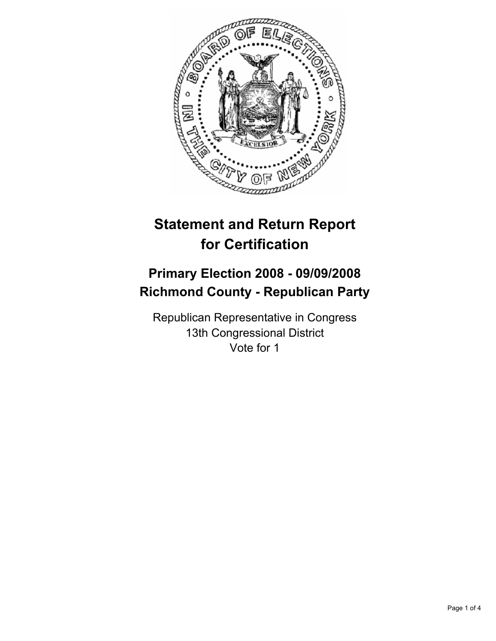

# **Statement and Return Report for Certification**

## **Primary Election 2008 - 09/09/2008 Richmond County - Republican Party**

Republican Representative in Congress 13th Congressional District Vote for 1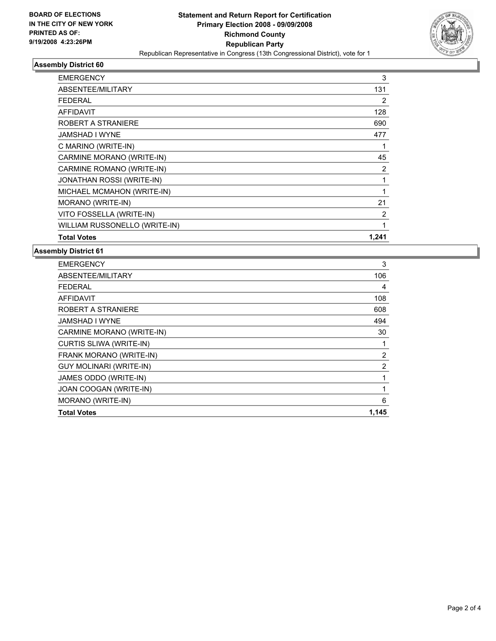

#### **Assembly District 60**

| <b>EMERGENCY</b>                 | 3     |
|----------------------------------|-------|
| ABSENTEE/MILITARY                | 131   |
| <b>FEDERAL</b>                   | 2     |
| <b>AFFIDAVIT</b>                 | 128   |
| ROBERT A STRANIERE               | 690   |
| JAMSHAD I WYNE                   | 477   |
| C MARINO (WRITE-IN)              |       |
| CARMINE MORANO (WRITE-IN)        | 45    |
| CARMINE ROMANO (WRITE-IN)        | 2     |
| <b>JONATHAN ROSSI (WRITE-IN)</b> |       |
| MICHAEL MCMAHON (WRITE-IN)       |       |
| MORANO (WRITE-IN)                | 21    |
| VITO FOSSELLA (WRITE-IN)         | 2     |
| WILLIAM RUSSONELLO (WRITE-IN)    |       |
| <b>Total Votes</b>               | 1.241 |

#### **Assembly District 61**

| 106   |
|-------|
|       |
| 4     |
| 108   |
| 608   |
| 494   |
| 30    |
|       |
| 2     |
| 2     |
|       |
|       |
| 6     |
| 1,145 |
|       |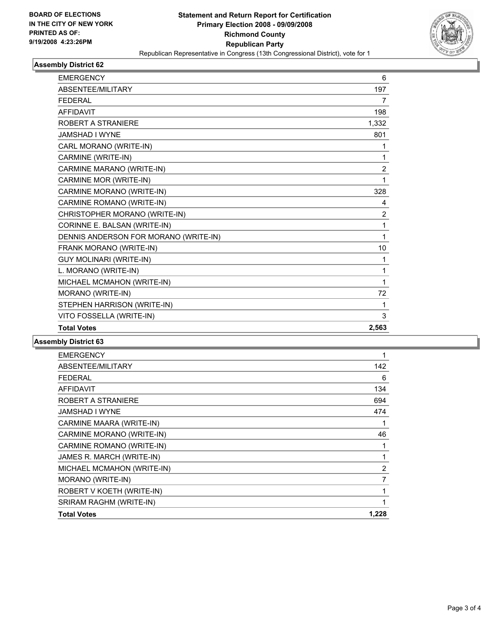

### **Assembly District 62**

| <b>EMERGENCY</b>                      | 6              |  |
|---------------------------------------|----------------|--|
| <b>ABSENTEE/MILITARY</b>              | 197            |  |
| <b>FEDERAL</b>                        | 7              |  |
| <b>AFFIDAVIT</b>                      | 198            |  |
| ROBERT A STRANIERE                    | 1,332          |  |
| JAMSHAD I WYNE                        | 801            |  |
| CARL MORANO (WRITE-IN)                |                |  |
| CARMINE (WRITE-IN)                    | 1              |  |
| CARMINE MARANO (WRITE-IN)             | $\overline{2}$ |  |
| CARMINE MOR (WRITE-IN)                | 1              |  |
| CARMINE MORANO (WRITE-IN)             | 328            |  |
| CARMINE ROMANO (WRITE-IN)             | 4              |  |
| CHRISTOPHER MORANO (WRITE-IN)         | $\overline{2}$ |  |
| CORINNE E. BALSAN (WRITE-IN)          | 1              |  |
| DENNIS ANDERSON FOR MORANO (WRITE-IN) | 1              |  |
| FRANK MORANO (WRITE-IN)               | 10             |  |
| GUY MOLINARI (WRITE-IN)               | 1              |  |
| L. MORANO (WRITE-IN)                  | 1              |  |
| MICHAEL MCMAHON (WRITE-IN)            |                |  |
| MORANO (WRITE-IN)                     | 72             |  |
| STEPHEN HARRISON (WRITE-IN)           | 1              |  |
| VITO FOSSELLA (WRITE-IN)              | 3              |  |
| <b>Total Votes</b>                    | 2,563          |  |

#### **Assembly District 63**

| <b>EMERGENCY</b>           |       |
|----------------------------|-------|
| ABSENTEE/MILITARY          | 142   |
| <b>FEDERAL</b>             | 6     |
| <b>AFFIDAVIT</b>           | 134   |
| ROBERT A STRANIERE         | 694   |
| JAMSHAD I WYNE             | 474   |
| CARMINE MAARA (WRITE-IN)   |       |
| CARMINE MORANO (WRITE-IN)  | 46    |
| CARMINE ROMANO (WRITE-IN)  |       |
| JAMES R. MARCH (WRITE-IN)  |       |
| MICHAEL MCMAHON (WRITE-IN) | 2     |
| MORANO (WRITE-IN)          |       |
| ROBERT V KOETH (WRITE-IN)  |       |
| SRIRAM RAGHM (WRITE-IN)    |       |
| <b>Total Votes</b>         | 1,228 |
|                            |       |